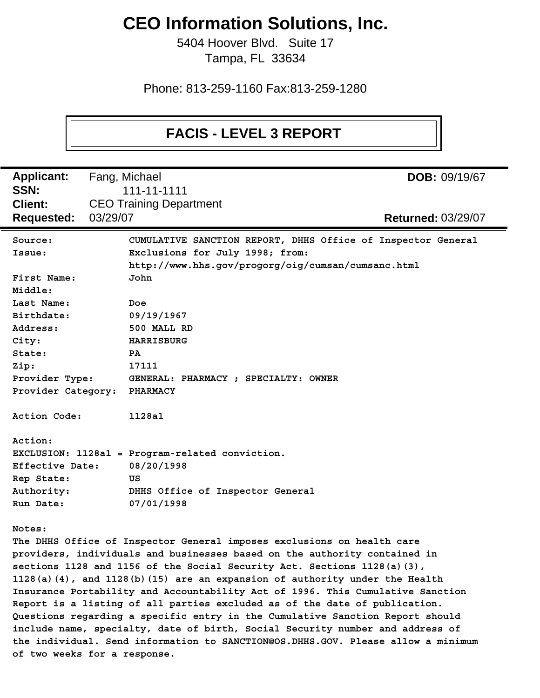# **CEO Information Solutions, Inc.**

5404 Hoover Blvd. Suite 17 Tampa, FL 33634

Phone: 813-259-1160 Fax:813-259-1280

# **FACIS - LEVEL 3 REPORT**

Fang, Michael **Client:** CEO Training Department **Applicant: Requested:** 03/29/07 03/29/07 **Returned: SSN:** 111-11-1111 **DOB:** 09/19/67 **Source: CUMULATIVE SANCTION REPORT, DHHS Office of Inspector General Issue: Exclusions for July 1998; from: http://www.hhs.gov/progorg/oig/cumsan/cumsanc.html First Name: John Middle: Last Name: Doe Birthdate: 09/19/1967 Address: 500 MALL RD City: HARRISBURG State: PA Zip: 17111 Provider Type: GENERAL: PHARMACY ; SPECIALTY: OWNER Provider Category: PHARMACY Action Code: 1128a1 Action: EXCLUSION: 1128a1 = Program-related conviction. Effective Date: 08/20/1998 Rep State: US Authority: DHHS Office of Inspector General Run Date: 07/01/1998 Notes: The DHHS Office of Inspector General imposes exclusions on health care providers, individuals and businesses based on the authority contained in sections 1128 and 1156 of the Social Security Act. Sections 1128(a)(3), 1128(a)(4), and 1128(b)(15) are an expansion of authority under the Health Insurance Portability and Accountability Act of 1996. This Cumulative Sanction Report is a listing of all parties excluded as of the date of publication. Questions regarding a specific entry in the Cumulative Sanction Report should include name, specialty, date of birth, Social Security number and address of the individual. Send information to SANCTION@OS.DHHS.GOV. Please allow a minimum of two weeks for a response.**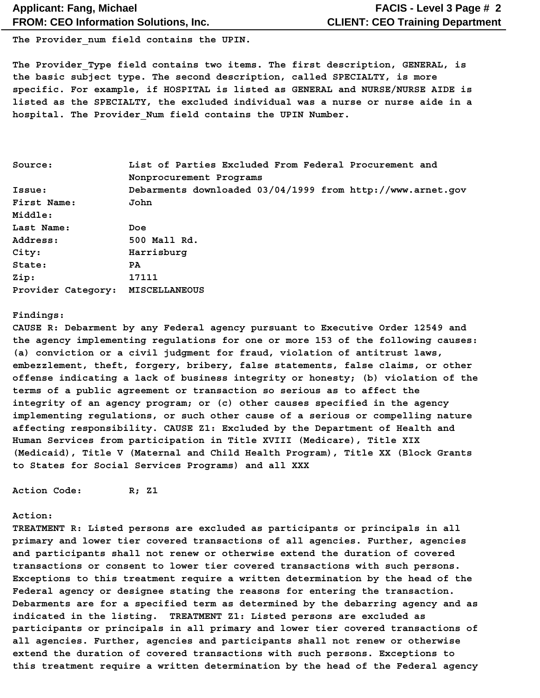The Provider num field contains the UPIN.

**The Provider\_Type field contains two items. The first description, GENERAL, is the basic subject type. The second description, called SPECIALTY, is more specific. For example, if HOSPITAL is listed as GENERAL and NURSE/NURSE AIDE is listed as the SPECIALTY, the excluded individual was a nurse or nurse aide in a hospital. The Provider\_Num field contains the UPIN Number.**

| Source:            | List of Parties Excluded From Federal Procurement and      |  |  |  |  |
|--------------------|------------------------------------------------------------|--|--|--|--|
|                    | Nonprocurement Programs                                    |  |  |  |  |
| Issue:             | Debarments downloaded 03/04/1999 from http://www.arnet.gov |  |  |  |  |
| First Name:        | John                                                       |  |  |  |  |
| Middle:            |                                                            |  |  |  |  |
| Last Name:         | Doe                                                        |  |  |  |  |
| Address:           | 500 Mall Rd.                                               |  |  |  |  |
| City:              | Harrisburg                                                 |  |  |  |  |
| State:             | PA.                                                        |  |  |  |  |
| Zip:               | 17111                                                      |  |  |  |  |
| Provider Category: | MISCELLANEOUS                                              |  |  |  |  |

#### **Findings:**

**CAUSE R: Debarment by any Federal agency pursuant to Executive Order 12549 and the agency implementing regulations for one or more 153 of the following causes: (a) conviction or a civil judgment for fraud, violation of antitrust laws, embezzlement, theft, forgery, bribery, false statements, false claims, or other offense indicating a lack of business integrity or honesty; (b) violation of the terms of a public agreement or transaction so serious as to affect the integrity of an agency program; or (c) other causes specified in the agency implementing regulations, or such other cause of a serious or compelling nature affecting responsibility. CAUSE Z1: Excluded by the Department of Health and Human Services from participation in Title XVIII (Medicare), Title XIX (Medicaid), Title V (Maternal and Child Health Program), Title XX (Block Grants to States for Social Services Programs) and all XXX**

**Action Code: R; Z1**

#### **Action:**

**TREATMENT R: Listed persons are excluded as participants or principals in all primary and lower tier covered transactions of all agencies. Further, agencies and participants shall not renew or otherwise extend the duration of covered transactions or consent to lower tier covered transactions with such persons. Exceptions to this treatment require a written determination by the head of the Federal agency or designee stating the reasons for entering the transaction. Debarments are for a specified term as determined by the debarring agency and as indicated in the listing. TREATMENT Z1: Listed persons are excluded as participants or principals in all primary and lower tier covered transactions of all agencies. Further, agencies and participants shall not renew or otherwise extend the duration of covered transactions with such persons. Exceptions to this treatment require a written determination by the head of the Federal agency**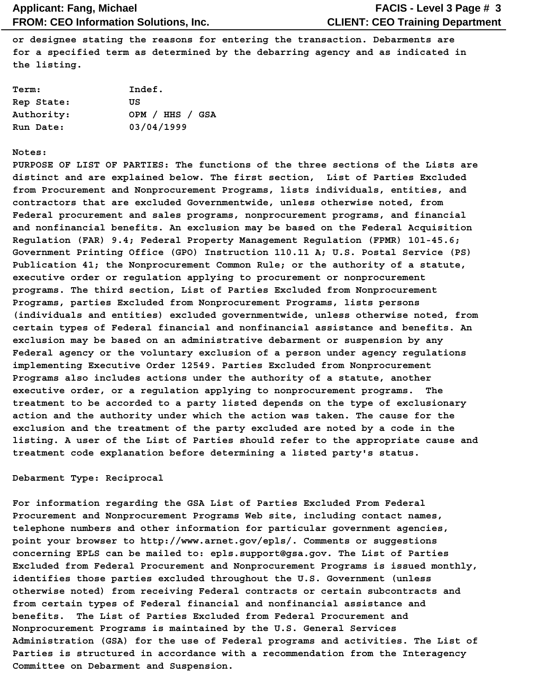**or designee stating the reasons for entering the transaction. Debarments are for a specified term as determined by the debarring agency and as indicated in the listing.**

| Term:      | Indef.          |
|------------|-----------------|
| Rep State: | πs              |
| Authority: | OPM / HHS / GSA |
| Run Date:  | 03/04/1999      |

#### **Notes:**

**PURPOSE OF LIST OF PARTIES: The functions of the three sections of the Lists are distinct and are explained below. The first section, List of Parties Excluded from Procurement and Nonprocurement Programs, lists individuals, entities, and contractors that are excluded Governmentwide, unless otherwise noted, from Federal procurement and sales programs, nonprocurement programs, and financial and nonfinancial benefits. An exclusion may be based on the Federal Acquisition Regulation (FAR) 9.4; Federal Property Management Regulation (FPMR) 101-45.6; Government Printing Office (GPO) Instruction 110.11 A; U.S. Postal Service (PS) Publication 41; the Nonprocurement Common Rule; or the authority of a statute, executive order or regulation applying to procurement or nonprocurement programs. The third section, List of Parties Excluded from Nonprocurement Programs, parties Excluded from Nonprocurement Programs, lists persons (individuals and entities) excluded governmentwide, unless otherwise noted, from certain types of Federal financial and nonfinancial assistance and benefits. An exclusion may be based on an administrative debarment or suspension by any Federal agency or the voluntary exclusion of a person under agency regulations implementing Executive Order 12549. Parties Excluded from Nonprocurement Programs also includes actions under the authority of a statute, another executive order, or a regulation applying to nonprocurement programs. The treatment to be accorded to a party listed depends on the type of exclusionary action and the authority under which the action was taken. The cause for the exclusion and the treatment of the party excluded are noted by a code in the listing. A user of the List of Parties should refer to the appropriate cause and treatment code explanation before determining a listed party's status.**

#### **Debarment Type: Reciprocal**

**For information regarding the GSA List of Parties Excluded From Federal Procurement and Nonprocurement Programs Web site, including contact names, telephone numbers and other information for particular government agencies, point your browser to http://www.arnet.gov/epls/. Comments or suggestions concerning EPLS can be mailed to: epls.support@gsa.gov. The List of Parties Excluded from Federal Procurement and Nonprocurement Programs is issued monthly, identifies those parties excluded throughout the U.S. Government (unless otherwise noted) from receiving Federal contracts or certain subcontracts and from certain types of Federal financial and nonfinancial assistance and benefits. The List of Parties Excluded from Federal Procurement and Nonprocurement Programs is maintained by the U.S. General Services Administration (GSA) for the use of Federal programs and activities. The List of Parties is structured in accordance with a recommendation from the Interagency Committee on Debarment and Suspension.**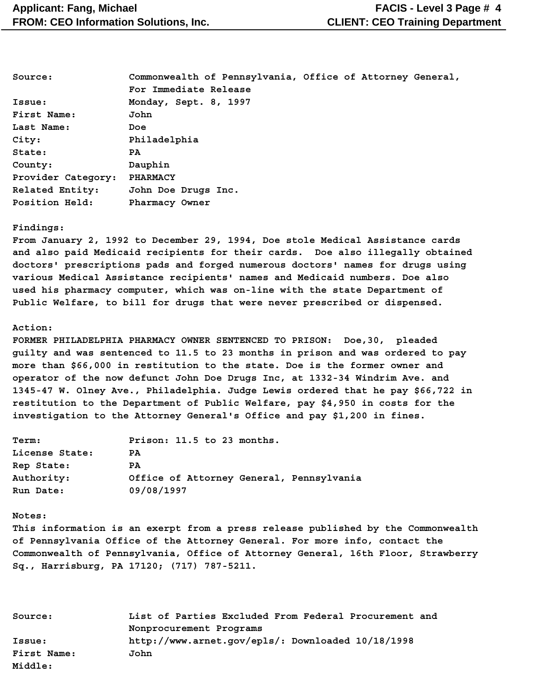| Source:            | Commonwealth of Pennsylvania, Office of Attorney General, |  |  |  |
|--------------------|-----------------------------------------------------------|--|--|--|
|                    | For Immediate Release                                     |  |  |  |
| Issue:             | Monday, Sept. 8, 1997                                     |  |  |  |
| First Name:        | John                                                      |  |  |  |
| Last Name:         | Doe                                                       |  |  |  |
| City:              | Philadelphia                                              |  |  |  |
| State:             | PA.                                                       |  |  |  |
| County:            | Dauphin                                                   |  |  |  |
| Provider Category: | <b>PHARMACY</b>                                           |  |  |  |
| Related Entity:    | John Doe Drugs Inc.                                       |  |  |  |
| Position Held:     | Pharmacy Owner                                            |  |  |  |

#### **Findings:**

**From January 2, 1992 to December 29, 1994, Doe stole Medical Assistance cards and also paid Medicaid recipients for their cards. Doe also illegally obtained doctors' prescriptions pads and forged numerous doctors' names for drugs using various Medical Assistance recipients' names and Medicaid numbers. Doe also used his pharmacy computer, which was on-line with the state Department of Public Welfare, to bill for drugs that were never prescribed or dispensed.**

#### **Action:**

**FORMER PHILADELPHIA PHARMACY OWNER SENTENCED TO PRISON: Doe,30, pleaded guilty and was sentenced to 11.5 to 23 months in prison and was ordered to pay more than \$66,000 in restitution to the state. Doe is the former owner and operator of the now defunct John Doe Drugs Inc, at 1332-34 Windrim Ave. and 1345-47 W. Olney Ave., Philadelphia. Judge Lewis ordered that he pay \$66,722 in restitution to the Department of Public Welfare, pay \$4,950 in costs for the investigation to the Attorney General's Office and pay \$1,200 in fines.**

| Term:          | Prison: 11.5 to 23 months.               |
|----------------|------------------------------------------|
| License State: | PA                                       |
| Rep State:     | PA.                                      |
| Authority:     | Office of Attorney General, Pennsylvania |
| Run Date:      | 09/08/1997                               |

#### **Notes:**

**This information is an exerpt from a press release published by the Commonwealth of Pennsylvania Office of the Attorney General. For more info, contact the Commonwealth of Pennsylvania, Office of Attorney General, 16th Floor, Strawberry Sq., Harrisburg, PA 17120; (717) 787-5211.**

| Source:     | List of Parties Excluded From Federal Procurement and |  |  |
|-------------|-------------------------------------------------------|--|--|
|             | Nonprocurement Programs                               |  |  |
| Issue:      | http://www.arnet.gov/epls/: Downloaded 10/18/1998     |  |  |
| First Name: | John                                                  |  |  |
| Middle:     |                                                       |  |  |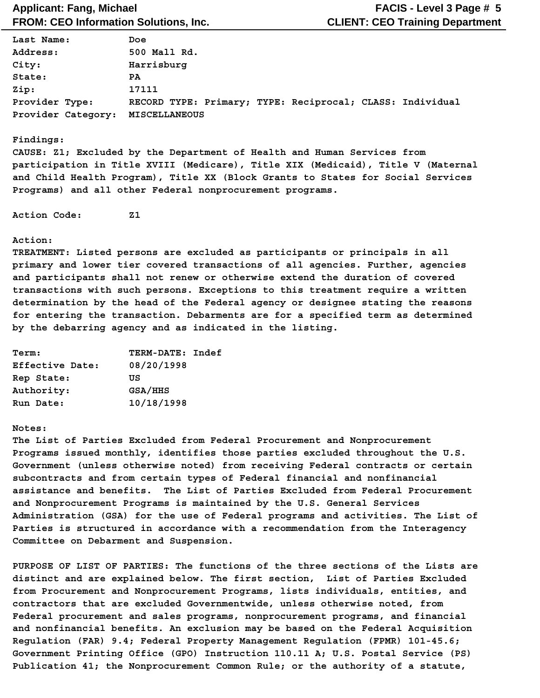| Last Name:         | Doe   |                      |  |  |                                                           |  |  |
|--------------------|-------|----------------------|--|--|-----------------------------------------------------------|--|--|
| Address:           |       | 500 Mall Rd.         |  |  |                                                           |  |  |
| City:              |       | Harrisburg           |  |  |                                                           |  |  |
| State:             | PA.   |                      |  |  |                                                           |  |  |
| Zip:               | 17111 |                      |  |  |                                                           |  |  |
| Provider Type:     |       |                      |  |  | RECORD TYPE: Primary; TYPE: Reciprocal; CLASS: Individual |  |  |
| Provider Category: |       | <b>MISCELLANEOUS</b> |  |  |                                                           |  |  |

#### **Findings:**

**CAUSE: Z1; Excluded by the Department of Health and Human Services from participation in Title XVIII (Medicare), Title XIX (Medicaid), Title V (Maternal and Child Health Program), Title XX (Block Grants to States for Social Services Programs) and all other Federal nonprocurement programs.**

**Action Code: Z1**

#### **Action:**

**TREATMENT: Listed persons are excluded as participants or principals in all primary and lower tier covered transactions of all agencies. Further, agencies and participants shall not renew or otherwise extend the duration of covered transactions with such persons. Exceptions to this treatment require a written determination by the head of the Federal agency or designee stating the reasons for entering the transaction. Debarments are for a specified term as determined by the debarring agency and as indicated in the listing.**

| <b>Term:</b>    | TERM-DATE: Indef |
|-----------------|------------------|
| Effective Date: | 08/20/1998       |
| Rep State:      | πs               |
| Authority:      | GSA/HHS          |
| Run Date:       | 10/18/1998       |

#### **Notes:**

**The List of Parties Excluded from Federal Procurement and Nonprocurement Programs issued monthly, identifies those parties excluded throughout the U.S. Government (unless otherwise noted) from receiving Federal contracts or certain subcontracts and from certain types of Federal financial and nonfinancial assistance and benefits. The List of Parties Excluded from Federal Procurement and Nonprocurement Programs is maintained by the U.S. General Services Administration (GSA) for the use of Federal programs and activities. The List of Parties is structured in accordance with a recommendation from the Interagency Committee on Debarment and Suspension.**

**PURPOSE OF LIST OF PARTIES: The functions of the three sections of the Lists are distinct and are explained below. The first section, List of Parties Excluded from Procurement and Nonprocurement Programs, lists individuals, entities, and contractors that are excluded Governmentwide, unless otherwise noted, from Federal procurement and sales programs, nonprocurement programs, and financial and nonfinancial benefits. An exclusion may be based on the Federal Acquisition Regulation (FAR) 9.4; Federal Property Management Regulation (FPMR) 101-45.6; Government Printing Office (GPO) Instruction 110.11 A; U.S. Postal Service (PS) Publication 41; the Nonprocurement Common Rule; or the authority of a statute,**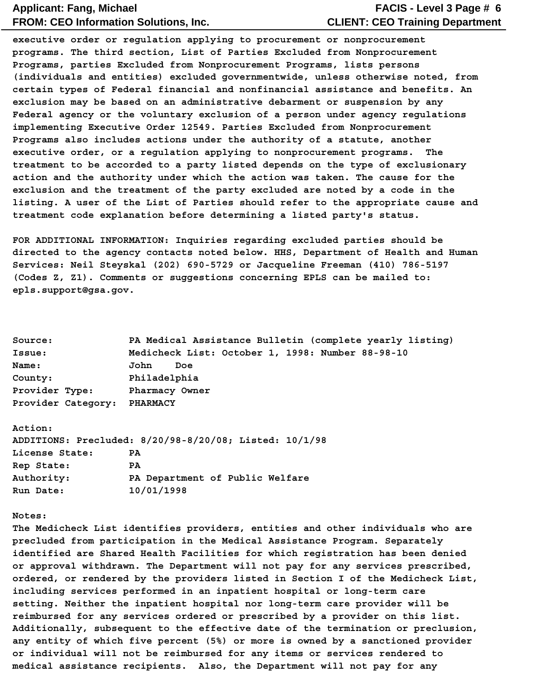### **CLIENT: CEO Training Department FACIS - Level 3 Page # 6**

**executive order or regulation applying to procurement or nonprocurement programs. The third section, List of Parties Excluded from Nonprocurement Programs, parties Excluded from Nonprocurement Programs, lists persons (individuals and entities) excluded governmentwide, unless otherwise noted, from certain types of Federal financial and nonfinancial assistance and benefits. An exclusion may be based on an administrative debarment or suspension by any Federal agency or the voluntary exclusion of a person under agency regulations implementing Executive Order 12549. Parties Excluded from Nonprocurement Programs also includes actions under the authority of a statute, another executive order, or a regulation applying to nonprocurement programs. The treatment to be accorded to a party listed depends on the type of exclusionary action and the authority under which the action was taken. The cause for the exclusion and the treatment of the party excluded are noted by a code in the listing. A user of the List of Parties should refer to the appropriate cause and treatment code explanation before determining a listed party's status.**

**FOR ADDITIONAL INFORMATION: Inquiries regarding excluded parties should be directed to the agency contacts noted below. HHS, Department of Health and Human Services: Neil Steyskal (202) 690-5729 or Jacqueline Freeman (410) 786-5197 (Codes Z, Z1). Comments or suggestions concerning EPLS can be mailed to: epls.support@gsa.gov.**

| Source:            | PA Medical Assistance Bulletin (complete yearly listing) |
|--------------------|----------------------------------------------------------|
| Issue:             | Medicheck List: October 1, 1998: Number 88-98-10         |
| <b>Name:</b>       | John<br>Doe                                              |
| County:            | Philadelphia                                             |
| Provider Type:     | Pharmacy Owner                                           |
| Provider Category: | <b>PHARMACY</b>                                          |
|                    |                                                          |

#### **Action:**

|                | ADDITIONS: Precluded: 8/20/98-8/20/08; Listed: 10/1/98 |
|----------------|--------------------------------------------------------|
| License State: | PA                                                     |
| Rep State:     | PA.                                                    |
| Authority:     | PA Department of Public Welfare                        |
| Run Date:      | 10/01/1998                                             |

#### **Notes:**

**The Medicheck List identifies providers, entities and other individuals who are precluded from participation in the Medical Assistance Program. Separately identified are Shared Health Facilities for which registration has been denied or approval withdrawn. The Department will not pay for any services prescribed, ordered, or rendered by the providers listed in Section I of the Medicheck List, including services performed in an inpatient hospital or long-term care setting. Neither the inpatient hospital nor long-term care provider will be reimbursed for any services ordered or prescribed by a provider on this list. Additionally, subsequent to the effective date of the termination or preclusion, any entity of which five percent (5%) or more is owned by a sanctioned provider or individual will not be reimbursed for any items or services rendered to medical assistance recipients. Also, the Department will not pay for any**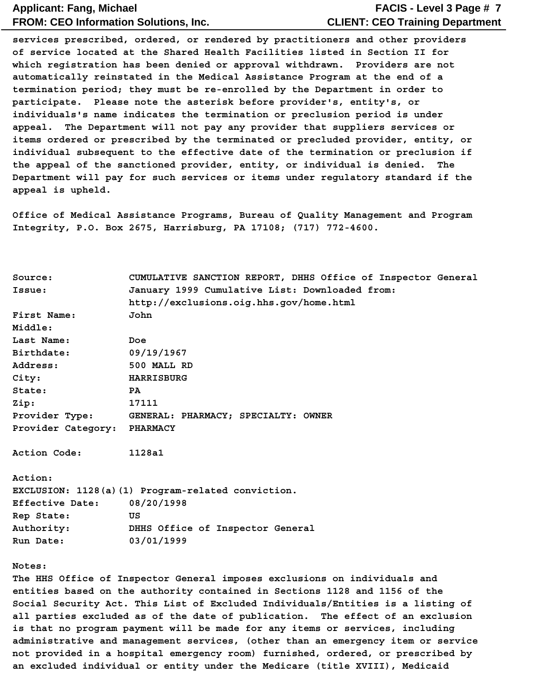### **CLIENT: CEO Training Department FACIS - Level 3 Page # 7**

**services prescribed, ordered, or rendered by practitioners and other providers of service located at the Shared Health Facilities listed in Section II for which registration has been denied or approval withdrawn. Providers are not automatically reinstated in the Medical Assistance Program at the end of a termination period; they must be re-enrolled by the Department in order to participate. Please note the asterisk before provider's, entity's, or individuals's name indicates the termination or preclusion period is under appeal. The Department will not pay any provider that suppliers services or items ordered or prescribed by the terminated or precluded provider, entity, or individual subsequent to the effective date of the termination or preclusion if the appeal of the sanctioned provider, entity, or individual is denied. The Department will pay for such services or items under regulatory standard if the appeal is upheld.**

**Office of Medical Assistance Programs, Bureau of Quality Management and Program Integrity, P.O. Box 2675, Harrisburg, PA 17108; (717) 772-4600.**

| Source:                     | CUMULATIVE SANCTION REPORT, DHHS Office of Inspector General                    |  |  |  |  |
|-----------------------------|---------------------------------------------------------------------------------|--|--|--|--|
| Issue:                      | January 1999 Cumulative List: Downloaded from:                                  |  |  |  |  |
|                             | http://exclusions.oig.hhs.gov/home.html                                         |  |  |  |  |
| First Name:                 | John                                                                            |  |  |  |  |
| Middle:                     |                                                                                 |  |  |  |  |
| Last Name:                  | Doe                                                                             |  |  |  |  |
| Birthdate:                  | 09/19/1967                                                                      |  |  |  |  |
| Address:                    | 500 MALL RD                                                                     |  |  |  |  |
| City:                       | <b>HARRISBURG</b>                                                               |  |  |  |  |
| State:                      | PA                                                                              |  |  |  |  |
| Zip:                        | 17111                                                                           |  |  |  |  |
| Provider Type:              | GENERAL: PHARMACY; SPECIALTY: OWNER                                             |  |  |  |  |
| Provider Category: PHARMACY |                                                                                 |  |  |  |  |
| Action Code:                | 1128a1                                                                          |  |  |  |  |
| Action:                     |                                                                                 |  |  |  |  |
|                             | EXCLUSION: 1128(a)(1) Program-related conviction.                               |  |  |  |  |
| Effective Date:             | 08/20/1998                                                                      |  |  |  |  |
| Rep State:                  | US                                                                              |  |  |  |  |
| Authority:                  | DHHS Office of Inspector General                                                |  |  |  |  |
| Run Date:                   | 03/01/1999                                                                      |  |  |  |  |
| Notes:                      |                                                                                 |  |  |  |  |
|                             | The HHS Office of Inspector General imposes exclusions on individuals and       |  |  |  |  |
|                             | entities based on the authority contained in Sections 1128 and 1156 of the      |  |  |  |  |
|                             | Social Security Act. This List of Excluded Individuals/Entities is a listing of |  |  |  |  |
|                             | all parties excluded as of the date of publication. The effect of an exclusion  |  |  |  |  |
|                             | is that no program payment will be made for any items or services, including    |  |  |  |  |

**administrative and management services, (other than an emergency item or service not provided in a hospital emergency room) furnished, ordered, or prescribed by an excluded individual or entity under the Medicare (title XVIII), Medicaid**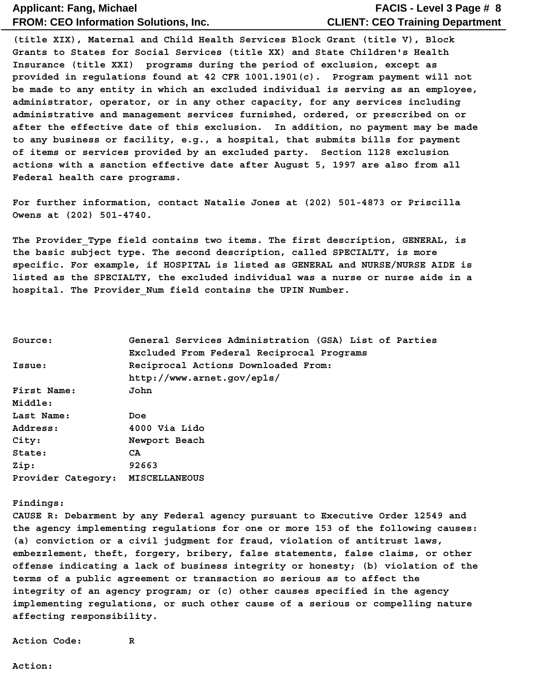### **CLIENT: CEO Training Department FACIS - Level 3 Page # 8**

**(title XIX), Maternal and Child Health Services Block Grant (title V), Block Grants to States for Social Services (title XX) and State Children's Health Insurance (title XXI) programs during the period of exclusion, except as provided in regulations found at 42 CFR 1001.1901(c). Program payment will not be made to any entity in which an excluded individual is serving as an employee, administrator, operator, or in any other capacity, for any services including administrative and management services furnished, ordered, or prescribed on or after the effective date of this exclusion. In addition, no payment may be made to any business or facility, e.g., a hospital, that submits bills for payment of items or services provided by an excluded party. Section 1128 exclusion actions with a sanction effective date after August 5, 1997 are also from all Federal health care programs.**

**For further information, contact Natalie Jones at (202) 501-4873 or Priscilla Owens at (202) 501-4740.**

The Provider Type field contains two items. The first description, GENERAL, is **the basic subject type. The second description, called SPECIALTY, is more specific. For example, if HOSPITAL is listed as GENERAL and NURSE/NURSE AIDE is listed as the SPECIALTY, the excluded individual was a nurse or nurse aide in a hospital. The Provider\_Num field contains the UPIN Number.**

| Source:                          | General Services Administration (GSA) List of Parties |  |  |  |  |
|----------------------------------|-------------------------------------------------------|--|--|--|--|
|                                  | Excluded From Federal Reciprocal Programs             |  |  |  |  |
| Issue:                           | Reciprocal Actions Downloaded From:                   |  |  |  |  |
|                                  | http://www.arnet.gov/epls/                            |  |  |  |  |
| First Name:                      | John                                                  |  |  |  |  |
| Middle:                          |                                                       |  |  |  |  |
| Last Name:                       | Doe                                                   |  |  |  |  |
| Address:                         | 4000 Via Lido                                         |  |  |  |  |
| City:                            | Newport Beach                                         |  |  |  |  |
| State:                           | CA.                                                   |  |  |  |  |
| Zip:                             | 92663                                                 |  |  |  |  |
| Provider Category: MISCELLANEOUS |                                                       |  |  |  |  |

#### **Findings:**

**CAUSE R: Debarment by any Federal agency pursuant to Executive Order 12549 and the agency implementing regulations for one or more 153 of the following causes: (a) conviction or a civil judgment for fraud, violation of antitrust laws, embezzlement, theft, forgery, bribery, false statements, false claims, or other offense indicating a lack of business integrity or honesty; (b) violation of the terms of a public agreement or transaction so serious as to affect the integrity of an agency program; or (c) other causes specified in the agency implementing regulations, or such other cause of a serious or compelling nature affecting responsibility.**

**Action Code: R**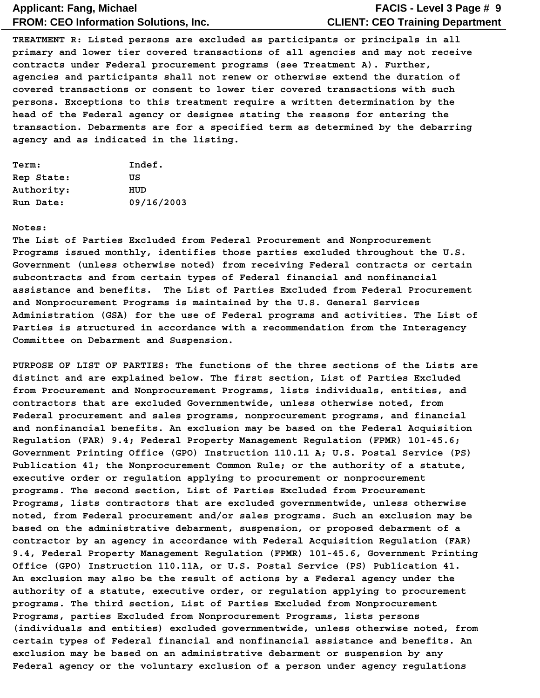### **CLIENT: CEO Training Department FACIS - Level 3 Page # 9**

**TREATMENT R: Listed persons are excluded as participants or principals in all primary and lower tier covered transactions of all agencies and may not receive contracts under Federal procurement programs (see Treatment A). Further, agencies and participants shall not renew or otherwise extend the duration of covered transactions or consent to lower tier covered transactions with such persons. Exceptions to this treatment require a written determination by the head of the Federal agency or designee stating the reasons for entering the transaction. Debarments are for a specified term as determined by the debarring agency and as indicated in the listing.**

| Term:      | Indef.     |
|------------|------------|
| Rep State: | πs         |
| Authority: | HUD        |
| Run Date:  | 09/16/2003 |

#### **Notes:**

**The List of Parties Excluded from Federal Procurement and Nonprocurement Programs issued monthly, identifies those parties excluded throughout the U.S. Government (unless otherwise noted) from receiving Federal contracts or certain subcontracts and from certain types of Federal financial and nonfinancial assistance and benefits. The List of Parties Excluded from Federal Procurement and Nonprocurement Programs is maintained by the U.S. General Services Administration (GSA) for the use of Federal programs and activities. The List of Parties is structured in accordance with a recommendation from the Interagency Committee on Debarment and Suspension.**

**PURPOSE OF LIST OF PARTIES: The functions of the three sections of the Lists are distinct and are explained below. The first section, List of Parties Excluded from Procurement and Nonprocurement Programs, lists individuals, entities, and contractors that are excluded Governmentwide, unless otherwise noted, from Federal procurement and sales programs, nonprocurement programs, and financial and nonfinancial benefits. An exclusion may be based on the Federal Acquisition Regulation (FAR) 9.4; Federal Property Management Regulation (FPMR) 101-45.6; Government Printing Office (GPO) Instruction 110.11 A; U.S. Postal Service (PS) Publication 41; the Nonprocurement Common Rule; or the authority of a statute, executive order or regulation applying to procurement or nonprocurement programs. The second section, List of Parties Excluded from Procurement Programs, lists contractors that are excluded governmentwide, unless otherwise noted, from Federal procurement and/or sales programs. Such an exclusion may be based on the administrative debarment, suspension, or proposed debarment of a contractor by an agency in accordance with Federal Acquisition Regulation (FAR) 9.4, Federal Property Management Regulation (FPMR) 101-45.6, Government Printing Office (GPO) Instruction 110.11A, or U.S. Postal Service (PS) Publication 41. An exclusion may also be the result of actions by a Federal agency under the authority of a statute, executive order, or regulation applying to procurement programs. The third section, List of Parties Excluded from Nonprocurement Programs, parties Excluded from Nonprocurement Programs, lists persons (individuals and entities) excluded governmentwide, unless otherwise noted, from certain types of Federal financial and nonfinancial assistance and benefits. An exclusion may be based on an administrative debarment or suspension by any Federal agency or the voluntary exclusion of a person under agency regulations**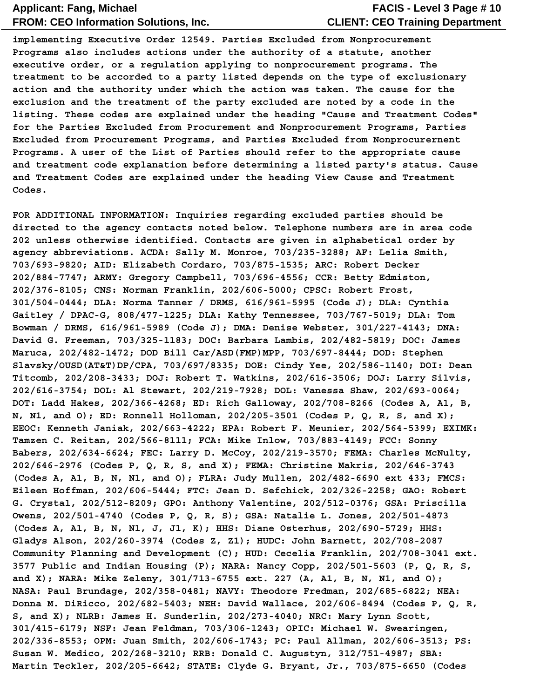### **CLIENT: CEO Training Department FACIS - Level 3 Page # 10**

**implementing Executive Order 12549. Parties Excluded from Nonprocurement Programs also includes actions under the authority of a statute, another executive order, or a regulation applying to nonprocurement programs. The treatment to be accorded to a party listed depends on the type of exclusionary action and the authority under which the action was taken. The cause for the exclusion and the treatment of the party excluded are noted by a code in the listing. These codes are explained under the heading "Cause and Treatment Codes" for the Parties Excluded from Procurement and Nonprocurement Programs, Parties Excluded from Procurement Programs, and Parties Excluded from Nonprocurernent Programs. A user of the List of Parties should refer to the appropriate cause and treatment code explanation before determining a listed party's status. Cause and Treatment Codes are explained under the heading View Cause and Treatment Codes.**

**FOR ADDITIONAL INFORMATION: Inquiries regarding excluded parties should be directed to the agency contacts noted below. Telephone numbers are in area code 202 unless otherwise identified. Contacts are given in alphabetical order by agency abbreviations. ACDA: Sally M. Monroe, 703/235-3288; AF: Lelia Smith, 703/693-9820; AID: Elizabeth Cordaro, 703/875-1535; ARC: Robert Decker 202/884-7747; ARMY: Gregory Campbell, 703/696-4556; CCR: Betty Edmiston, 202/376-8105; CNS: Norman Franklin, 202/606-5000; CPSC: Robert Frost, 301/504-0444; DLA: Norma Tanner / DRMS, 616/961-5995 (Code J); DLA: Cynthia Gaitley / DPAC-G, 808/477-1225; DLA: Kathy Tennessee, 703/767-5019; DLA: Tom Bowman / DRMS, 616/961-5989 (Code J); DMA: Denise Webster, 301/227-4143; DNA: David G. Freeman, 703/325-1183; DOC: Barbara Lambis, 202/482-5819; DOC: James Maruca, 202/482-1472; DOD Bill Car/ASD(FMP)MPP, 703/697-8444; DOD: Stephen Slavsky/OUSD(AT&T)DP/CPA, 703/697/8335; DOE: Cindy Yee, 202/586-1140; DOI: Dean Titcomb, 202/208-3433; DOJ: Robert T. Watkins, 202/616-3506; DOJ: Larry Silvis, 202/616-3754; DOL: Al Stewart, 202/219-7928; DOL: Vanessa Shaw, 202/693-0064; DOT: Ladd Hakes, 202/366-4268; ED: Rich Galloway, 202/708-8266 (Codes A, A1, B, N, N1, and O); ED: Ronnell Holloman, 202/205-3501 (Codes P, Q, R, S, and X); EEOC: Kenneth Janiak, 202/663-4222; EPA: Robert F. Meunier, 202/564-5399; EXIMK: Tamzen C. Reitan, 202/566-8111; FCA: Mike Inlow, 703/883-4149; FCC: Sonny Babers, 202/634-6624; FEC: Larry D. McCoy, 202/219-3570; FEMA: Charles McNulty, 202/646-2976 (Codes P, Q, R, S, and X); FEMA: Christine Makris, 202/646-3743 (Codes A, A1, B, N, N1, and O); FLRA: Judy Mullen, 202/482-6690 ext 433; FMCS: Eileen Hoffman, 202/606-5444; FTC: Jean D. Sefchick, 202/326-2258; GAO: Robert G. Crystal, 202/512-8209; GPO: Anthony Valentine, 202/512-0376; GSA: Priscilla Owens, 202/501-4740 (Codes P, Q, R, S); GSA: Natalie L. Jones, 202/501-4873 (Codes A, A1, B, N, N1, J, J1, K); HHS: Diane Osterhus, 202/690-5729; HHS: Gladys Alson, 202/260-3974 (Codes Z, Z1); HUDC: John Barnett, 202/708-2087 Community Planning and Development (C); HUD: Cecelia Franklin, 202/708-3041 ext. 3577 Public and Indian Housing (P); NARA: Nancy Copp, 202/501-5603 (P, Q, R, S, and X); NARA: Mike Zeleny, 301/713-6755 ext. 227 (A, A1, B, N, N1, and O); NASA: Paul Brundage, 202/358-0481; NAVY: Theodore Fredman, 202/685-6822; NEA: Donna M. DiRicco, 202/682-5403; NEH: David Wallace, 202/606-8494 (Codes P, Q, R, S, and X); NLRB: James H. Sunderlin, 202/273-4040; NRC: Mary Lynn Scott, 301/415-6179; NSF: Jean Feldman, 703/306-1243; OPIC: Michael W. Swearingen, 202/336-8553; OPM: Juan Smith, 202/606-1743; PC: Paul Allman, 202/606-3513; PS: Susan W. Medico, 202/268-3210; RRB: Donald C. Augustyn, 312/751-4987; SBA: Martin Teckler, 202/205-6642; STATE: Clyde G. Bryant, Jr., 703/875-6650 (Codes**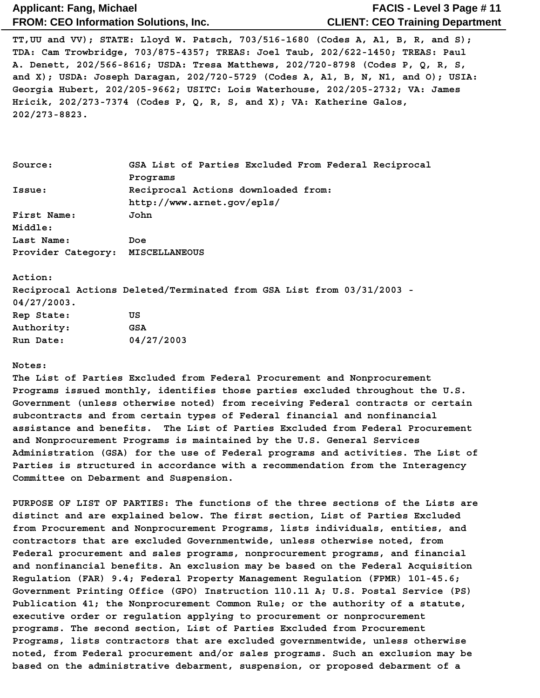### **CLIENT: CEO Training Department FACIS - Level 3 Page # 11**

**TT,UU and VV); STATE: Lloyd W. Patsch, 703/516-1680 (Codes A, A1, B, R, and S); TDA: Cam Trowbridge, 703/875-4357; TREAS: Joel Taub, 202/622-1450; TREAS: Paul A. Denett, 202/566-8616; USDA: Tresa Matthews, 202/720-8798 (Codes P, Q, R, S, and X); USDA: Joseph Daragan, 202/720-5729 (Codes A, A1, B, N, N1, and O); USIA: Georgia Hubert, 202/205-9662; USITC: Lois Waterhouse, 202/205-2732; VA: James Hricik, 202/273-7374 (Codes P, Q, R, S, and X); VA: Katherine Galos, 202/273-8823.**

| Source:                          | GSA List of Parties Excluded From Federal Reciprocal                  |  |
|----------------------------------|-----------------------------------------------------------------------|--|
|                                  | Programs                                                              |  |
| Issue:                           | Reciprocal Actions downloaded from:                                   |  |
|                                  | http://www.arnet.gov/epls/                                            |  |
| First Name:                      | John                                                                  |  |
| Middle:                          |                                                                       |  |
| Last Name:                       | Doe                                                                   |  |
| Provider Category: MISCELLANEOUS |                                                                       |  |
|                                  |                                                                       |  |
| Action:                          |                                                                       |  |
|                                  | Reciprocal Actions Deleted/Terminated from GSA List from 03/31/2003 - |  |
| $04/27/2003$ .                   |                                                                       |  |
| Rep State:                       | US                                                                    |  |

| Rep State: | πs         |
|------------|------------|
| Authority: | GSA        |
| Run Date:  | 04/27/2003 |

#### **Notes:**

**The List of Parties Excluded from Federal Procurement and Nonprocurement Programs issued monthly, identifies those parties excluded throughout the U.S. Government (unless otherwise noted) from receiving Federal contracts or certain subcontracts and from certain types of Federal financial and nonfinancial assistance and benefits. The List of Parties Excluded from Federal Procurement and Nonprocurement Programs is maintained by the U.S. General Services Administration (GSA) for the use of Federal programs and activities. The List of Parties is structured in accordance with a recommendation from the Interagency Committee on Debarment and Suspension.**

**PURPOSE OF LIST OF PARTIES: The functions of the three sections of the Lists are distinct and are explained below. The first section, List of Parties Excluded from Procurement and Nonprocurement Programs, lists individuals, entities, and contractors that are excluded Governmentwide, unless otherwise noted, from Federal procurement and sales programs, nonprocurement programs, and financial and nonfinancial benefits. An exclusion may be based on the Federal Acquisition Regulation (FAR) 9.4; Federal Property Management Regulation (FPMR) 101-45.6; Government Printing Office (GPO) Instruction 110.11 A; U.S. Postal Service (PS) Publication 41; the Nonprocurement Common Rule; or the authority of a statute, executive order or regulation applying to procurement or nonprocurement programs. The second section, List of Parties Excluded from Procurement Programs, lists contractors that are excluded governmentwide, unless otherwise noted, from Federal procurement and/or sales programs. Such an exclusion may be based on the administrative debarment, suspension, or proposed debarment of a**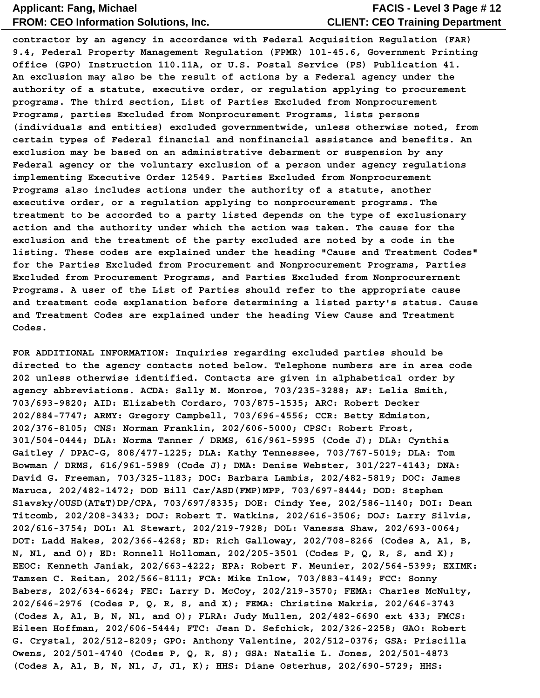### **CLIENT: CEO Training Department FACIS - Level 3 Page # 12**

**contractor by an agency in accordance with Federal Acquisition Regulation (FAR) 9.4, Federal Property Management Regulation (FPMR) 101-45.6, Government Printing Office (GPO) Instruction 110.11A, or U.S. Postal Service (PS) Publication 41. An exclusion may also be the result of actions by a Federal agency under the authority of a statute, executive order, or regulation applying to procurement programs. The third section, List of Parties Excluded from Nonprocurement Programs, parties Excluded from Nonprocurement Programs, lists persons (individuals and entities) excluded governmentwide, unless otherwise noted, from certain types of Federal financial and nonfinancial assistance and benefits. An exclusion may be based on an administrative debarment or suspension by any Federal agency or the voluntary exclusion of a person under agency regulations implementing Executive Order 12549. Parties Excluded from Nonprocurement Programs also includes actions under the authority of a statute, another executive order, or a regulation applying to nonprocurement programs. The treatment to be accorded to a party listed depends on the type of exclusionary action and the authority under which the action was taken. The cause for the exclusion and the treatment of the party excluded are noted by a code in the listing. These codes are explained under the heading "Cause and Treatment Codes" for the Parties Excluded from Procurement and Nonprocurement Programs, Parties Excluded from Procurement Programs, and Parties Excluded from Nonprocurernent Programs. A user of the List of Parties should refer to the appropriate cause and treatment code explanation before determining a listed party's status. Cause and Treatment Codes are explained under the heading View Cause and Treatment Codes.**

**FOR ADDITIONAL INFORMATION: Inquiries regarding excluded parties should be directed to the agency contacts noted below. Telephone numbers are in area code 202 unless otherwise identified. Contacts are given in alphabetical order by agency abbreviations. ACDA: Sally M. Monroe, 703/235-3288; AF: Lelia Smith, 703/693-9820; AID: Elizabeth Cordaro, 703/875-1535; ARC: Robert Decker 202/884-7747; ARMY: Gregory Campbell, 703/696-4556; CCR: Betty Edmiston, 202/376-8105; CNS: Norman Franklin, 202/606-5000; CPSC: Robert Frost, 301/504-0444; DLA: Norma Tanner / DRMS, 616/961-5995 (Code J); DLA: Cynthia Gaitley / DPAC-G, 808/477-1225; DLA: Kathy Tennessee, 703/767-5019; DLA: Tom Bowman / DRMS, 616/961-5989 (Code J); DMA: Denise Webster, 301/227-4143; DNA: David G. Freeman, 703/325-1183; DOC: Barbara Lambis, 202/482-5819; DOC: James Maruca, 202/482-1472; DOD Bill Car/ASD(FMP)MPP, 703/697-8444; DOD: Stephen Slavsky/OUSD(AT&T)DP/CPA, 703/697/8335; DOE: Cindy Yee, 202/586-1140; DOI: Dean Titcomb, 202/208-3433; DOJ: Robert T. Watkins, 202/616-3506; DOJ: Larry Silvis, 202/616-3754; DOL: Al Stewart, 202/219-7928; DOL: Vanessa Shaw, 202/693-0064; DOT: Ladd Hakes, 202/366-4268; ED: Rich Galloway, 202/708-8266 (Codes A, A1, B, N, N1, and O); ED: Ronnell Holloman, 202/205-3501 (Codes P, Q, R, S, and X); EEOC: Kenneth Janiak, 202/663-4222; EPA: Robert F. Meunier, 202/564-5399; EXIMK: Tamzen C. Reitan, 202/566-8111; FCA: Mike Inlow, 703/883-4149; FCC: Sonny Babers, 202/634-6624; FEC: Larry D. McCoy, 202/219-3570; FEMA: Charles McNulty, 202/646-2976 (Codes P, Q, R, S, and X); FEMA: Christine Makris, 202/646-3743 (Codes A, A1, B, N, N1, and O); FLRA: Judy Mullen, 202/482-6690 ext 433; FMCS: Eileen Hoffman, 202/606-5444; FTC: Jean D. Sefchick, 202/326-2258; GAO: Robert G. Crystal, 202/512-8209; GPO: Anthony Valentine, 202/512-0376; GSA: Priscilla Owens, 202/501-4740 (Codes P, Q, R, S); GSA: Natalie L. Jones, 202/501-4873 (Codes A, A1, B, N, N1, J, J1, K); HHS: Diane Osterhus, 202/690-5729; HHS:**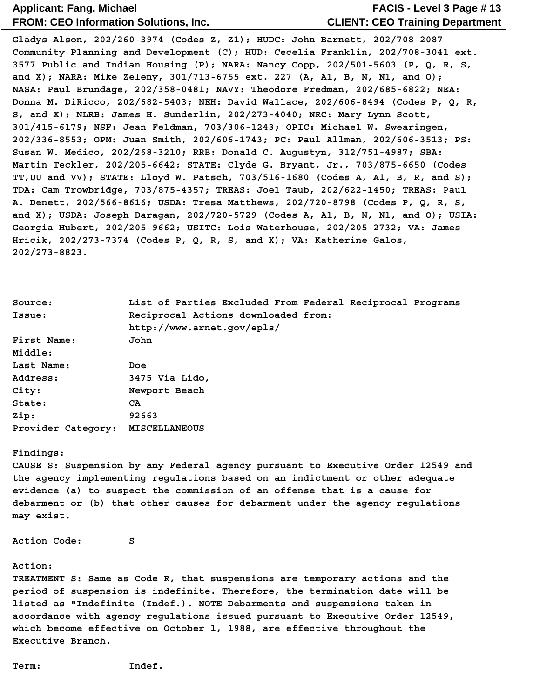### **CLIENT: CEO Training Department FACIS - Level 3 Page # 13**

**Gladys Alson, 202/260-3974 (Codes Z, Z1); HUDC: John Barnett, 202/708-2087 Community Planning and Development (C); HUD: Cecelia Franklin, 202/708-3041 ext. 3577 Public and Indian Housing (P); NARA: Nancy Copp, 202/501-5603 (P, Q, R, S, and X); NARA: Mike Zeleny, 301/713-6755 ext. 227 (A, A1, B, N, N1, and O); NASA: Paul Brundage, 202/358-0481; NAVY: Theodore Fredman, 202/685-6822; NEA: Donna M. DiRicco, 202/682-5403; NEH: David Wallace, 202/606-8494 (Codes P, Q, R, S, and X); NLRB: James H. Sunderlin, 202/273-4040; NRC: Mary Lynn Scott, 301/415-6179; NSF: Jean Feldman, 703/306-1243; OPIC: Michael W. Swearingen, 202/336-8553; OPM: Juan Smith, 202/606-1743; PC: Paul Allman, 202/606-3513; PS: Susan W. Medico, 202/268-3210; RRB: Donald C. Augustyn, 312/751-4987; SBA: Martin Teckler, 202/205-6642; STATE: Clyde G. Bryant, Jr., 703/875-6650 (Codes TT,UU and VV); STATE: Lloyd W. Patsch, 703/516-1680 (Codes A, A1, B, R, and S); TDA: Cam Trowbridge, 703/875-4357; TREAS: Joel Taub, 202/622-1450; TREAS: Paul A. Denett, 202/566-8616; USDA: Tresa Matthews, 202/720-8798 (Codes P, Q, R, S, and X); USDA: Joseph Daragan, 202/720-5729 (Codes A, A1, B, N, N1, and O); USIA: Georgia Hubert, 202/205-9662; USITC: Lois Waterhouse, 202/205-2732; VA: James Hricik, 202/273-7374 (Codes P, Q, R, S, and X); VA: Katherine Galos, 202/273-8823.**

| Source:            | List of Parties Excluded From Federal Reciprocal Programs |
|--------------------|-----------------------------------------------------------|
| Issue:             | Reciprocal Actions downloaded from:                       |
|                    | http://www.arnet.gov/epls/                                |
| First Name:        | John                                                      |
| Middle:            |                                                           |
| Last Name:         | Doe                                                       |
| Address:           | 3475 Via Lido,                                            |
| City:              | Newport Beach                                             |
| State:             | CA                                                        |
| Zip:               | 92663                                                     |
| Provider Category: | <b>MISCELLANEOUS</b>                                      |

#### **Findings:**

**CAUSE S: Suspension by any Federal agency pursuant to Executive Order 12549 and the agency implementing regulations based on an indictment or other adequate evidence (a) to suspect the commission of an offense that is a cause for debarment or (b) that other causes for debarment under the agency regulations may exist.**

**Action Code: S**

#### **Action:**

**TREATMENT S: Same as Code R, that suspensions are temporary actions and the period of suspension is indefinite. Therefore, the termination date will be listed as "Indefinite (Indef.). NOTE Debarments and suspensions taken in accordance with agency regulations issued pursuant to Executive Order 12549, which become effective on October 1, 1988, are effective throughout the Executive Branch.**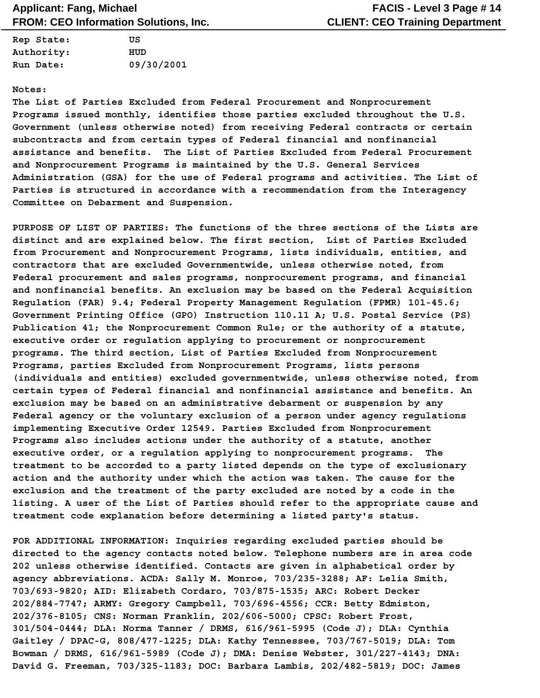| Rep State: | πs         |
|------------|------------|
| Authority: | HUD        |
| Run Date:  | 09/30/2001 |

#### **Notes:**

**The List of Parties Excluded from Federal Procurement and Nonprocurement Programs issued monthly, identifies those parties excluded throughout the U.S. Government (unless otherwise noted) from receiving Federal contracts or certain subcontracts and from certain types of Federal financial and nonfinancial assistance and benefits. The List of Parties Excluded from Federal Procurement and Nonprocurement Programs is maintained by the U.S. General Services Administration (GSA) for the use of Federal programs and activities. The List of Parties is structured in accordance with a recommendation from the Interagency Committee on Debarment and Suspension.**

**PURPOSE OF LIST OF PARTIES: The functions of the three sections of the Lists are distinct and are explained below. The first section, List of Parties Excluded from Procurement and Nonprocurement Programs, lists individuals, entities, and contractors that are excluded Governmentwide, unless otherwise noted, from Federal procurement and sales programs, nonprocurement programs, and financial and nonfinancial benefits. An exclusion may be based on the Federal Acquisition Regulation (FAR) 9.4; Federal Property Management Regulation (FPMR) 101-45.6; Government Printing Office (GPO) Instruction 110.11 A; U.S. Postal Service (PS) Publication 41; the Nonprocurement Common Rule; or the authority of a statute, executive order or regulation applying to procurement or nonprocurement programs. The third section, List of Parties Excluded from Nonprocurement Programs, parties Excluded from Nonprocurement Programs, lists persons (individuals and entities) excluded governmentwide, unless otherwise noted, from certain types of Federal financial and nonfinancial assistance and benefits. An exclusion may be based on an administrative debarment or suspension by any Federal agency or the voluntary exclusion of a person under agency regulations implementing Executive Order 12549. Parties Excluded from Nonprocurement Programs also includes actions under the authority of a statute, another executive order, or a regulation applying to nonprocurement programs. The treatment to be accorded to a party listed depends on the type of exclusionary action and the authority under which the action was taken. The cause for the exclusion and the treatment of the party excluded are noted by a code in the listing. A user of the List of Parties should refer to the appropriate cause and treatment code explanation before determining a listed party's status.**

**FOR ADDITIONAL INFORMATION: Inquiries regarding excluded parties should be directed to the agency contacts noted below. Telephone numbers are in area code 202 unless otherwise identified. Contacts are given in alphabetical order by agency abbreviations. ACDA: Sally M. Monroe, 703/235-3288; AF: Lelia Smith, 703/693-9820; AID: Elizabeth Cordaro, 703/875-1535; ARC: Robert Decker 202/884-7747; ARMY: Gregory Campbell, 703/696-4556; CCR: Betty Edmiston, 202/376-8105; CNS: Norman Franklin, 202/606-5000; CPSC: Robert Frost, 301/504-0444; DLA: Norma Tanner / DRMS, 616/961-5995 (Code J); DLA: Cynthia Gaitley / DPAC-G, 808/477-1225; DLA: Kathy Tennessee, 703/767-5019; DLA: Tom Bowman / DRMS, 616/961-5989 (Code J); DMA: Denise Webster, 301/227-4143; DNA: David G. Freeman, 703/325-1183; DOC: Barbara Lambis, 202/482-5819; DOC: James**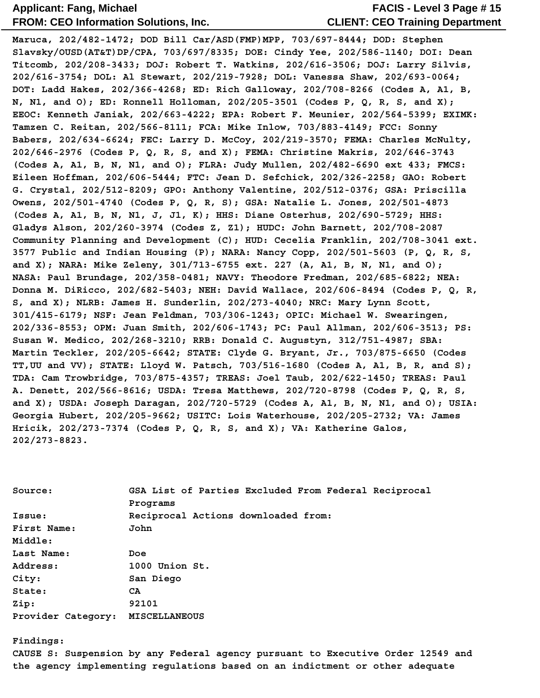### **CLIENT: CEO Training Department FACIS - Level 3 Page # 15**

**Maruca, 202/482-1472; DOD Bill Car/ASD(FMP)MPP, 703/697-8444; DOD: Stephen Slavsky/OUSD(AT&T)DP/CPA, 703/697/8335; DOE: Cindy Yee, 202/586-1140; DOI: Dean Titcomb, 202/208-3433; DOJ: Robert T. Watkins, 202/616-3506; DOJ: Larry Silvis, 202/616-3754; DOL: Al Stewart, 202/219-7928; DOL: Vanessa Shaw, 202/693-0064; DOT: Ladd Hakes, 202/366-4268; ED: Rich Galloway, 202/708-8266 (Codes A, A1, B, N, N1, and O); ED: Ronnell Holloman, 202/205-3501 (Codes P, Q, R, S, and X); EEOC: Kenneth Janiak, 202/663-4222; EPA: Robert F. Meunier, 202/564-5399; EXIMK: Tamzen C. Reitan, 202/566-8111; FCA: Mike Inlow, 703/883-4149; FCC: Sonny Babers, 202/634-6624; FEC: Larry D. McCoy, 202/219-3570; FEMA: Charles McNulty, 202/646-2976 (Codes P, Q, R, S, and X); FEMA: Christine Makris, 202/646-3743 (Codes A, A1, B, N, N1, and O); FLRA: Judy Mullen, 202/482-6690 ext 433; FMCS: Eileen Hoffman, 202/606-5444; FTC: Jean D. Sefchick, 202/326-2258; GAO: Robert G. Crystal, 202/512-8209; GPO: Anthony Valentine, 202/512-0376; GSA: Priscilla Owens, 202/501-4740 (Codes P, Q, R, S); GSA: Natalie L. Jones, 202/501-4873 (Codes A, A1, B, N, N1, J, J1, K); HHS: Diane Osterhus, 202/690-5729; HHS: Gladys Alson, 202/260-3974 (Codes Z, Z1); HUDC: John Barnett, 202/708-2087 Community Planning and Development (C); HUD: Cecelia Franklin, 202/708-3041 ext. 3577 Public and Indian Housing (P); NARA: Nancy Copp, 202/501-5603 (P, Q, R, S, and X); NARA: Mike Zeleny, 301/713-6755 ext. 227 (A, A1, B, N, N1, and O); NASA: Paul Brundage, 202/358-0481; NAVY: Theodore Fredman, 202/685-6822; NEA: Donna M. DiRicco, 202/682-5403; NEH: David Wallace, 202/606-8494 (Codes P, Q, R, S, and X); NLRB: James H. Sunderlin, 202/273-4040; NRC: Mary Lynn Scott, 301/415-6179; NSF: Jean Feldman, 703/306-1243; OPIC: Michael W. Swearingen, 202/336-8553; OPM: Juan Smith, 202/606-1743; PC: Paul Allman, 202/606-3513; PS: Susan W. Medico, 202/268-3210; RRB: Donald C. Augustyn, 312/751-4987; SBA: Martin Teckler, 202/205-6642; STATE: Clyde G. Bryant, Jr., 703/875-6650 (Codes TT,UU and VV); STATE: Lloyd W. Patsch, 703/516-1680 (Codes A, A1, B, R, and S); TDA: Cam Trowbridge, 703/875-4357; TREAS: Joel Taub, 202/622-1450; TREAS: Paul A. Denett, 202/566-8616; USDA: Tresa Matthews, 202/720-8798 (Codes P, Q, R, S, and X); USDA: Joseph Daragan, 202/720-5729 (Codes A, A1, B, N, N1, and O); USIA: Georgia Hubert, 202/205-9662; USITC: Lois Waterhouse, 202/205-2732; VA: James Hricik, 202/273-7374 (Codes P, Q, R, S, and X); VA: Katherine Galos, 202/273-8823.**

| Source:            | GSA List of Parties Excluded From Federal Reciprocal |
|--------------------|------------------------------------------------------|
|                    | Programs                                             |
| Issue:             | Reciprocal Actions downloaded from:                  |
| First Name:        | John                                                 |
| Middle:            |                                                      |
| Last Name:         | Doe                                                  |
| Address:           | 1000 Union St.                                       |
| City:              | San Diego                                            |
| State:             | CA.                                                  |
| Zip:               | 92101                                                |
| Provider Category: | <b>MISCELLANEOUS</b>                                 |

**Findings:** 

**CAUSE S: Suspension by any Federal agency pursuant to Executive Order 12549 and the agency implementing regulations based on an indictment or other adequate**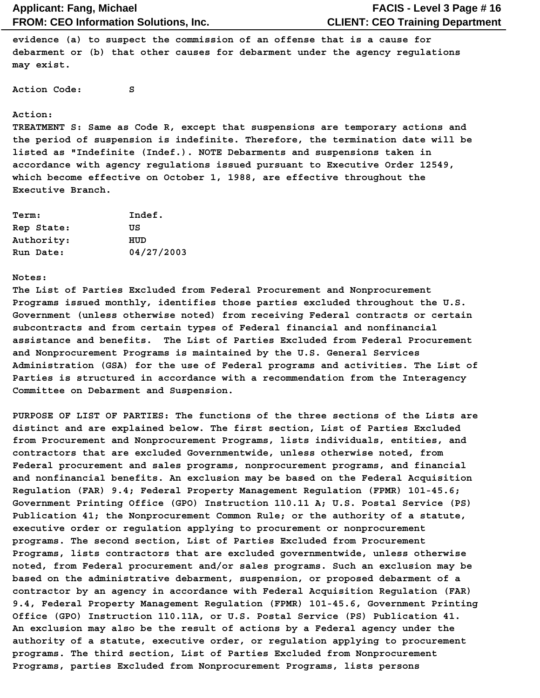**evidence (a) to suspect the commission of an offense that is a cause for debarment or (b) that other causes for debarment under the agency regulations may exist.**

**Action Code: S**

#### **Action:**

**TREATMENT S: Same as Code R, except that suspensions are temporary actions and the period of suspension is indefinite. Therefore, the termination date will be listed as "Indefinite (Indef.). NOTE Debarments and suspensions taken in accordance with agency regulations issued pursuant to Executive Order 12549, which become effective on October 1, 1988, are effective throughout the Executive Branch.**

| <b>Term:</b> | Indef.     |
|--------------|------------|
| Rep State:   | πs         |
| Authority:   | HUD        |
| Run Date:    | 04/27/2003 |

#### **Notes:**

**The List of Parties Excluded from Federal Procurement and Nonprocurement Programs issued monthly, identifies those parties excluded throughout the U.S. Government (unless otherwise noted) from receiving Federal contracts or certain subcontracts and from certain types of Federal financial and nonfinancial assistance and benefits. The List of Parties Excluded from Federal Procurement and Nonprocurement Programs is maintained by the U.S. General Services Administration (GSA) for the use of Federal programs and activities. The List of Parties is structured in accordance with a recommendation from the Interagency Committee on Debarment and Suspension.**

**PURPOSE OF LIST OF PARTIES: The functions of the three sections of the Lists are distinct and are explained below. The first section, List of Parties Excluded from Procurement and Nonprocurement Programs, lists individuals, entities, and contractors that are excluded Governmentwide, unless otherwise noted, from Federal procurement and sales programs, nonprocurement programs, and financial and nonfinancial benefits. An exclusion may be based on the Federal Acquisition Regulation (FAR) 9.4; Federal Property Management Regulation (FPMR) 101-45.6; Government Printing Office (GPO) Instruction 110.11 A; U.S. Postal Service (PS) Publication 41; the Nonprocurement Common Rule; or the authority of a statute, executive order or regulation applying to procurement or nonprocurement programs. The second section, List of Parties Excluded from Procurement Programs, lists contractors that are excluded governmentwide, unless otherwise noted, from Federal procurement and/or sales programs. Such an exclusion may be based on the administrative debarment, suspension, or proposed debarment of a contractor by an agency in accordance with Federal Acquisition Regulation (FAR) 9.4, Federal Property Management Regulation (FPMR) 101-45.6, Government Printing Office (GPO) Instruction 110.11A, or U.S. Postal Service (PS) Publication 41. An exclusion may also be the result of actions by a Federal agency under the authority of a statute, executive order, or regulation applying to procurement programs. The third section, List of Parties Excluded from Nonprocurement Programs, parties Excluded from Nonprocurement Programs, lists persons**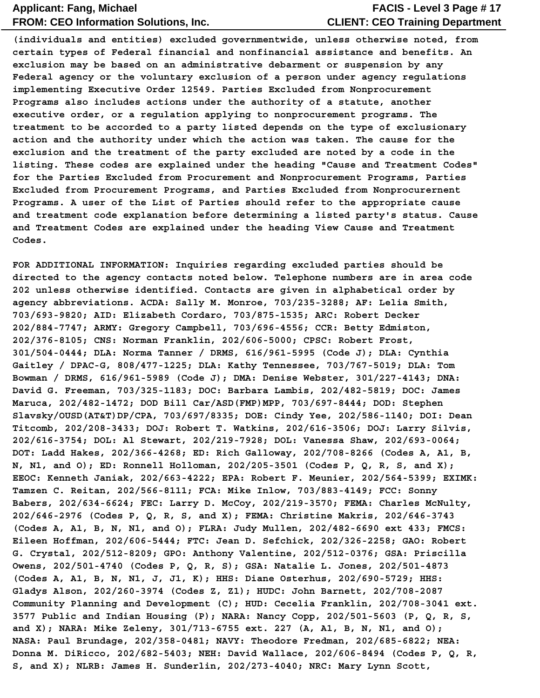### **CLIENT: CEO Training Department FACIS - Level 3 Page # 17**

**(individuals and entities) excluded governmentwide, unless otherwise noted, from certain types of Federal financial and nonfinancial assistance and benefits. An exclusion may be based on an administrative debarment or suspension by any Federal agency or the voluntary exclusion of a person under agency regulations implementing Executive Order 12549. Parties Excluded from Nonprocurement Programs also includes actions under the authority of a statute, another executive order, or a regulation applying to nonprocurement programs. The treatment to be accorded to a party listed depends on the type of exclusionary action and the authority under which the action was taken. The cause for the exclusion and the treatment of the party excluded are noted by a code in the listing. These codes are explained under the heading "Cause and Treatment Codes" for the Parties Excluded from Procurement and Nonprocurement Programs, Parties Excluded from Procurement Programs, and Parties Excluded from Nonprocurernent Programs. A user of the List of Parties should refer to the appropriate cause and treatment code explanation before determining a listed party's status. Cause and Treatment Codes are explained under the heading View Cause and Treatment Codes.**

**FOR ADDITIONAL INFORMATION: Inquiries regarding excluded parties should be directed to the agency contacts noted below. Telephone numbers are in area code 202 unless otherwise identified. Contacts are given in alphabetical order by agency abbreviations. ACDA: Sally M. Monroe, 703/235-3288; AF: Lelia Smith, 703/693-9820; AID: Elizabeth Cordaro, 703/875-1535; ARC: Robert Decker 202/884-7747; ARMY: Gregory Campbell, 703/696-4556; CCR: Betty Edmiston, 202/376-8105; CNS: Norman Franklin, 202/606-5000; CPSC: Robert Frost, 301/504-0444; DLA: Norma Tanner / DRMS, 616/961-5995 (Code J); DLA: Cynthia Gaitley / DPAC-G, 808/477-1225; DLA: Kathy Tennessee, 703/767-5019; DLA: Tom Bowman / DRMS, 616/961-5989 (Code J); DMA: Denise Webster, 301/227-4143; DNA: David G. Freeman, 703/325-1183; DOC: Barbara Lambis, 202/482-5819; DOC: James Maruca, 202/482-1472; DOD Bill Car/ASD(FMP)MPP, 703/697-8444; DOD: Stephen Slavsky/OUSD(AT&T)DP/CPA, 703/697/8335; DOE: Cindy Yee, 202/586-1140; DOI: Dean Titcomb, 202/208-3433; DOJ: Robert T. Watkins, 202/616-3506; DOJ: Larry Silvis, 202/616-3754; DOL: Al Stewart, 202/219-7928; DOL: Vanessa Shaw, 202/693-0064; DOT: Ladd Hakes, 202/366-4268; ED: Rich Galloway, 202/708-8266 (Codes A, A1, B, N, N1, and O); ED: Ronnell Holloman, 202/205-3501 (Codes P, Q, R, S, and X); EEOC: Kenneth Janiak, 202/663-4222; EPA: Robert F. Meunier, 202/564-5399; EXIMK: Tamzen C. Reitan, 202/566-8111; FCA: Mike Inlow, 703/883-4149; FCC: Sonny Babers, 202/634-6624; FEC: Larry D. McCoy, 202/219-3570; FEMA: Charles McNulty, 202/646-2976 (Codes P, Q, R, S, and X); FEMA: Christine Makris, 202/646-3743 (Codes A, A1, B, N, N1, and O); FLRA: Judy Mullen, 202/482-6690 ext 433; FMCS: Eileen Hoffman, 202/606-5444; FTC: Jean D. Sefchick, 202/326-2258; GAO: Robert G. Crystal, 202/512-8209; GPO: Anthony Valentine, 202/512-0376; GSA: Priscilla Owens, 202/501-4740 (Codes P, Q, R, S); GSA: Natalie L. Jones, 202/501-4873 (Codes A, A1, B, N, N1, J, J1, K); HHS: Diane Osterhus, 202/690-5729; HHS: Gladys Alson, 202/260-3974 (Codes Z, Z1); HUDC: John Barnett, 202/708-2087 Community Planning and Development (C); HUD: Cecelia Franklin, 202/708-3041 ext. 3577 Public and Indian Housing (P); NARA: Nancy Copp, 202/501-5603 (P, Q, R, S, and X); NARA: Mike Zeleny, 301/713-6755 ext. 227 (A, A1, B, N, N1, and O); NASA: Paul Brundage, 202/358-0481; NAVY: Theodore Fredman, 202/685-6822; NEA: Donna M. DiRicco, 202/682-5403; NEH: David Wallace, 202/606-8494 (Codes P, Q, R, S, and X); NLRB: James H. Sunderlin, 202/273-4040; NRC: Mary Lynn Scott,**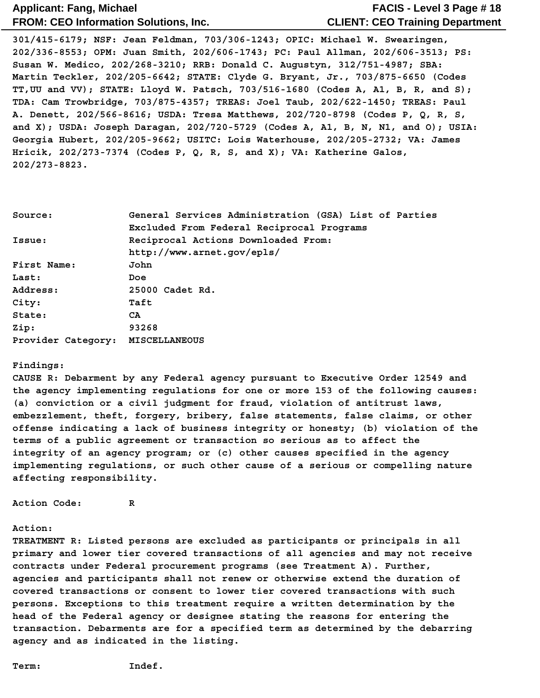### **CLIENT: CEO Training Department FACIS - Level 3 Page # 18**

**301/415-6179; NSF: Jean Feldman, 703/306-1243; OPIC: Michael W. Swearingen, 202/336-8553; OPM: Juan Smith, 202/606-1743; PC: Paul Allman, 202/606-3513; PS: Susan W. Medico, 202/268-3210; RRB: Donald C. Augustyn, 312/751-4987; SBA: Martin Teckler, 202/205-6642; STATE: Clyde G. Bryant, Jr., 703/875-6650 (Codes TT,UU and VV); STATE: Lloyd W. Patsch, 703/516-1680 (Codes A, A1, B, R, and S); TDA: Cam Trowbridge, 703/875-4357; TREAS: Joel Taub, 202/622-1450; TREAS: Paul A. Denett, 202/566-8616; USDA: Tresa Matthews, 202/720-8798 (Codes P, Q, R, S, and X); USDA: Joseph Daragan, 202/720-5729 (Codes A, A1, B, N, N1, and O); USIA: Georgia Hubert, 202/205-9662; USITC: Lois Waterhouse, 202/205-2732; VA: James Hricik, 202/273-7374 (Codes P, Q, R, S, and X); VA: Katherine Galos, 202/273-8823.**

| Source:            | General Services Administration (GSA) List of Parties |  |  |
|--------------------|-------------------------------------------------------|--|--|
|                    | Excluded From Federal Reciprocal Programs             |  |  |
| Issue:             | Reciprocal Actions Downloaded From:                   |  |  |
|                    | http://www.arnet.gov/epls/                            |  |  |
| First Name:        | John                                                  |  |  |
| Last:              | Doe                                                   |  |  |
| Address:           | 25000 Cadet Rd.                                       |  |  |
| City:              | Taft                                                  |  |  |
| State:             | CA.                                                   |  |  |
| Zip:               | 93268                                                 |  |  |
| Provider Category: | MISCELLANEOUS                                         |  |  |

#### **Findings:**

**CAUSE R: Debarment by any Federal agency pursuant to Executive Order 12549 and the agency implementing regulations for one or more 153 of the following causes: (a) conviction or a civil judgment for fraud, violation of antitrust laws, embezzlement, theft, forgery, bribery, false statements, false claims, or other offense indicating a lack of business integrity or honesty; (b) violation of the terms of a public agreement or transaction so serious as to affect the integrity of an agency program; or (c) other causes specified in the agency implementing regulations, or such other cause of a serious or compelling nature affecting responsibility.**

**Action Code: R**

#### **Action:**

**TREATMENT R: Listed persons are excluded as participants or principals in all primary and lower tier covered transactions of all agencies and may not receive contracts under Federal procurement programs (see Treatment A). Further, agencies and participants shall not renew or otherwise extend the duration of covered transactions or consent to lower tier covered transactions with such persons. Exceptions to this treatment require a written determination by the head of the Federal agency or designee stating the reasons for entering the transaction. Debarments are for a specified term as determined by the debarring agency and as indicated in the listing.**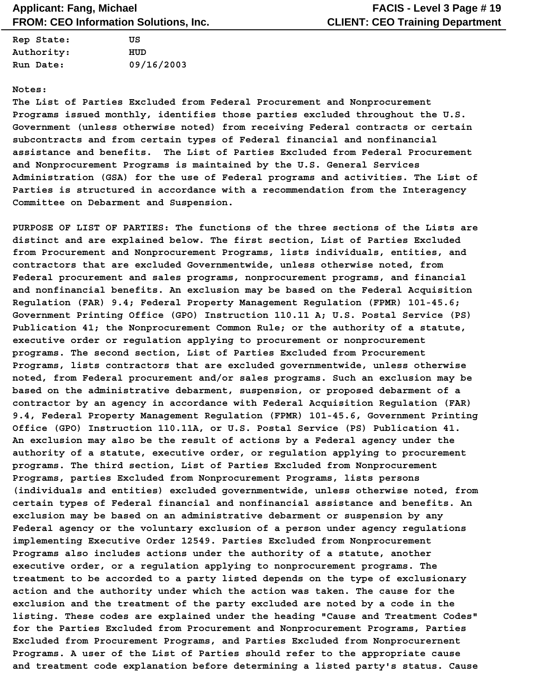| Rep State: | πs         |
|------------|------------|
| Authority: | HUD        |
| Run Date:  | 09/16/2003 |

#### **Notes:**

**The List of Parties Excluded from Federal Procurement and Nonprocurement Programs issued monthly, identifies those parties excluded throughout the U.S. Government (unless otherwise noted) from receiving Federal contracts or certain subcontracts and from certain types of Federal financial and nonfinancial assistance and benefits. The List of Parties Excluded from Federal Procurement and Nonprocurement Programs is maintained by the U.S. General Services Administration (GSA) for the use of Federal programs and activities. The List of Parties is structured in accordance with a recommendation from the Interagency Committee on Debarment and Suspension.**

**PURPOSE OF LIST OF PARTIES: The functions of the three sections of the Lists are distinct and are explained below. The first section, List of Parties Excluded from Procurement and Nonprocurement Programs, lists individuals, entities, and contractors that are excluded Governmentwide, unless otherwise noted, from Federal procurement and sales programs, nonprocurement programs, and financial and nonfinancial benefits. An exclusion may be based on the Federal Acquisition Regulation (FAR) 9.4; Federal Property Management Regulation (FPMR) 101-45.6; Government Printing Office (GPO) Instruction 110.11 A; U.S. Postal Service (PS) Publication 41; the Nonprocurement Common Rule; or the authority of a statute, executive order or regulation applying to procurement or nonprocurement programs. The second section, List of Parties Excluded from Procurement Programs, lists contractors that are excluded governmentwide, unless otherwise noted, from Federal procurement and/or sales programs. Such an exclusion may be based on the administrative debarment, suspension, or proposed debarment of a contractor by an agency in accordance with Federal Acquisition Regulation (FAR) 9.4, Federal Property Management Regulation (FPMR) 101-45.6, Government Printing Office (GPO) Instruction 110.11A, or U.S. Postal Service (PS) Publication 41. An exclusion may also be the result of actions by a Federal agency under the authority of a statute, executive order, or regulation applying to procurement programs. The third section, List of Parties Excluded from Nonprocurement Programs, parties Excluded from Nonprocurement Programs, lists persons (individuals and entities) excluded governmentwide, unless otherwise noted, from certain types of Federal financial and nonfinancial assistance and benefits. An exclusion may be based on an administrative debarment or suspension by any Federal agency or the voluntary exclusion of a person under agency regulations implementing Executive Order 12549. Parties Excluded from Nonprocurement Programs also includes actions under the authority of a statute, another executive order, or a regulation applying to nonprocurement programs. The treatment to be accorded to a party listed depends on the type of exclusionary action and the authority under which the action was taken. The cause for the exclusion and the treatment of the party excluded are noted by a code in the listing. These codes are explained under the heading "Cause and Treatment Codes" for the Parties Excluded from Procurement and Nonprocurement Programs, Parties Excluded from Procurement Programs, and Parties Excluded from Nonprocurernent Programs. A user of the List of Parties should refer to the appropriate cause and treatment code explanation before determining a listed party's status. Cause**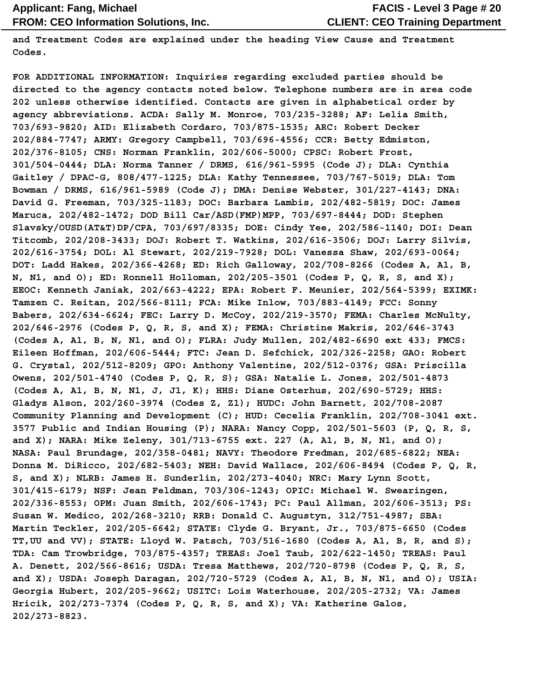**and Treatment Codes are explained under the heading View Cause and Treatment Codes.**

**FOR ADDITIONAL INFORMATION: Inquiries regarding excluded parties should be directed to the agency contacts noted below. Telephone numbers are in area code 202 unless otherwise identified. Contacts are given in alphabetical order by agency abbreviations. ACDA: Sally M. Monroe, 703/235-3288; AF: Lelia Smith, 703/693-9820; AID: Elizabeth Cordaro, 703/875-1535; ARC: Robert Decker 202/884-7747; ARMY: Gregory Campbell, 703/696-4556; CCR: Betty Edmiston, 202/376-8105; CNS: Norman Franklin, 202/606-5000; CPSC: Robert Frost, 301/504-0444; DLA: Norma Tanner / DRMS, 616/961-5995 (Code J); DLA: Cynthia Gaitley / DPAC-G, 808/477-1225; DLA: Kathy Tennessee, 703/767-5019; DLA: Tom Bowman / DRMS, 616/961-5989 (Code J); DMA: Denise Webster, 301/227-4143; DNA: David G. Freeman, 703/325-1183; DOC: Barbara Lambis, 202/482-5819; DOC: James Maruca, 202/482-1472; DOD Bill Car/ASD(FMP)MPP, 703/697-8444; DOD: Stephen Slavsky/OUSD(AT&T)DP/CPA, 703/697/8335; DOE: Cindy Yee, 202/586-1140; DOI: Dean Titcomb, 202/208-3433; DOJ: Robert T. Watkins, 202/616-3506; DOJ: Larry Silvis, 202/616-3754; DOL: Al Stewart, 202/219-7928; DOL: Vanessa Shaw, 202/693-0064; DOT: Ladd Hakes, 202/366-4268; ED: Rich Galloway, 202/708-8266 (Codes A, A1, B, N, N1, and O); ED: Ronnell Holloman, 202/205-3501 (Codes P, Q, R, S, and X); EEOC: Kenneth Janiak, 202/663-4222; EPA: Robert F. Meunier, 202/564-5399; EXIMK: Tamzen C. Reitan, 202/566-8111; FCA: Mike Inlow, 703/883-4149; FCC: Sonny Babers, 202/634-6624; FEC: Larry D. McCoy, 202/219-3570; FEMA: Charles McNulty, 202/646-2976 (Codes P, Q, R, S, and X); FEMA: Christine Makris, 202/646-3743 (Codes A, A1, B, N, N1, and O); FLRA: Judy Mullen, 202/482-6690 ext 433; FMCS: Eileen Hoffman, 202/606-5444; FTC: Jean D. Sefchick, 202/326-2258; GAO: Robert G. Crystal, 202/512-8209; GPO: Anthony Valentine, 202/512-0376; GSA: Priscilla Owens, 202/501-4740 (Codes P, Q, R, S); GSA: Natalie L. Jones, 202/501-4873 (Codes A, A1, B, N, N1, J, J1, K); HHS: Diane Osterhus, 202/690-5729; HHS: Gladys Alson, 202/260-3974 (Codes Z, Z1); HUDC: John Barnett, 202/708-2087 Community Planning and Development (C); HUD: Cecelia Franklin, 202/708-3041 ext. 3577 Public and Indian Housing (P); NARA: Nancy Copp, 202/501-5603 (P, Q, R, S, and X); NARA: Mike Zeleny, 301/713-6755 ext. 227 (A, A1, B, N, N1, and O); NASA: Paul Brundage, 202/358-0481; NAVY: Theodore Fredman, 202/685-6822; NEA: Donna M. DiRicco, 202/682-5403; NEH: David Wallace, 202/606-8494 (Codes P, Q, R, S, and X); NLRB: James H. Sunderlin, 202/273-4040; NRC: Mary Lynn Scott, 301/415-6179; NSF: Jean Feldman, 703/306-1243; OPIC: Michael W. Swearingen, 202/336-8553; OPM: Juan Smith, 202/606-1743; PC: Paul Allman, 202/606-3513; PS: Susan W. Medico, 202/268-3210; RRB: Donald C. Augustyn, 312/751-4987; SBA: Martin Teckler, 202/205-6642; STATE: Clyde G. Bryant, Jr., 703/875-6650 (Codes TT,UU and VV); STATE: Lloyd W. Patsch, 703/516-1680 (Codes A, A1, B, R, and S); TDA: Cam Trowbridge, 703/875-4357; TREAS: Joel Taub, 202/622-1450; TREAS: Paul A. Denett, 202/566-8616; USDA: Tresa Matthews, 202/720-8798 (Codes P, Q, R, S, and X); USDA: Joseph Daragan, 202/720-5729 (Codes A, A1, B, N, N1, and O); USIA: Georgia Hubert, 202/205-9662; USITC: Lois Waterhouse, 202/205-2732; VA: James Hricik, 202/273-7374 (Codes P, Q, R, S, and X); VA: Katherine Galos, 202/273-8823.**